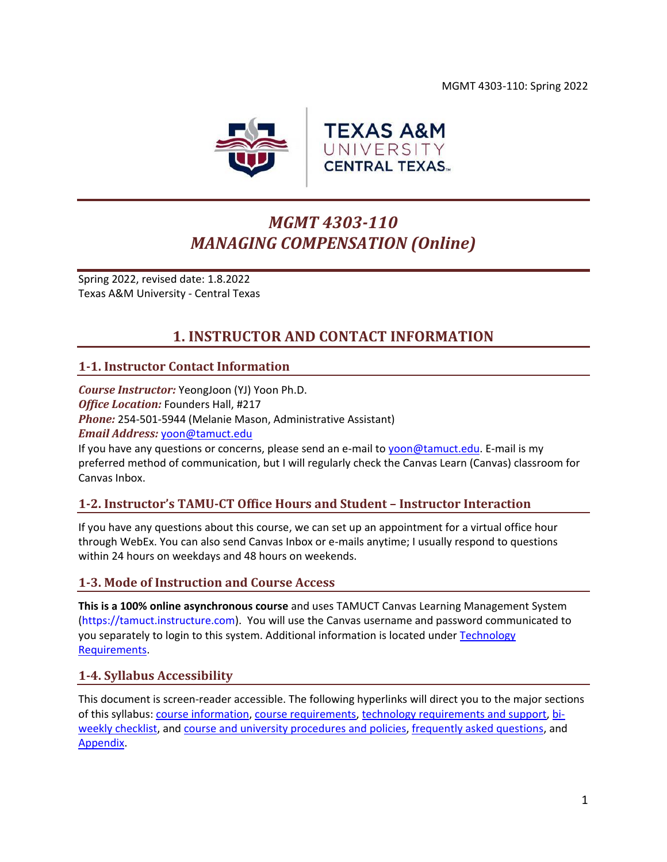MGMT 4303-110: Spring 2022



# *MGMT 4303-110 MANAGING COMPENSATION (Online)*

Spring 2022, revised date: 1.8.2022 Texas A&M University - Central Texas

## **1. INSTRUCTOR AND CONTACT INFORMATION**

## <span id="page-0-0"></span>**1-1. Instructor Contact Information**

*Course Instructor:* YeongJoon (YJ) Yoon Ph.D. *Office Location:* Founders Hall, #217 *Phone:* 254-501-5944 (Melanie Mason, Administrative Assistant) *Email Address:* [yoon@tamuct.edu](mailto:yoon@tamuct.edu)

If you have any questions or concerns, please send an e-mail to [yoon@tamuct.edu.](mailto:yoon@tamuct.edu) E-mail is my preferred method of communication, but I will regularly check the Canvas Learn (Canvas) classroom for Canvas Inbox.

## **1-2. Instructor's TAMU-CT Office Hours and Student – Instructor Interaction**

If you have any questions about this course, we can set up an appointment for a virtual office hour through WebEx. You can also send Canvas Inbox or e-mails anytime; I usually respond to questions within 24 hours on weekdays and 48 hours on weekends.

#### **1-3. Mode of Instruction and Course Access**

**This is a 100% online asynchronous course** and uses TAMUCT Canvas Learning Management System (https://tamuct.instructure.com). You will use the Canvas username and password communicated to you separately to login to this system. Additional information is located under [Technology](#page-6-0)  [Requirements.](#page-6-0)

#### **1-4. Syllabus Accessibility**

This document is screen-reader accessible. The following hyperlinks will direct you to the major sections of this syllabus: course [information,](#page-1-0) [course requirements,](#page-2-0) [technology requirements and support,](#page-6-1) [bi](#page-7-0)[weekly checklist,](#page-7-0) and [course and university procedures and policies,](#page-16-0) [frequently asked questions,](#page-18-0) and [Appendix.](#page-21-0)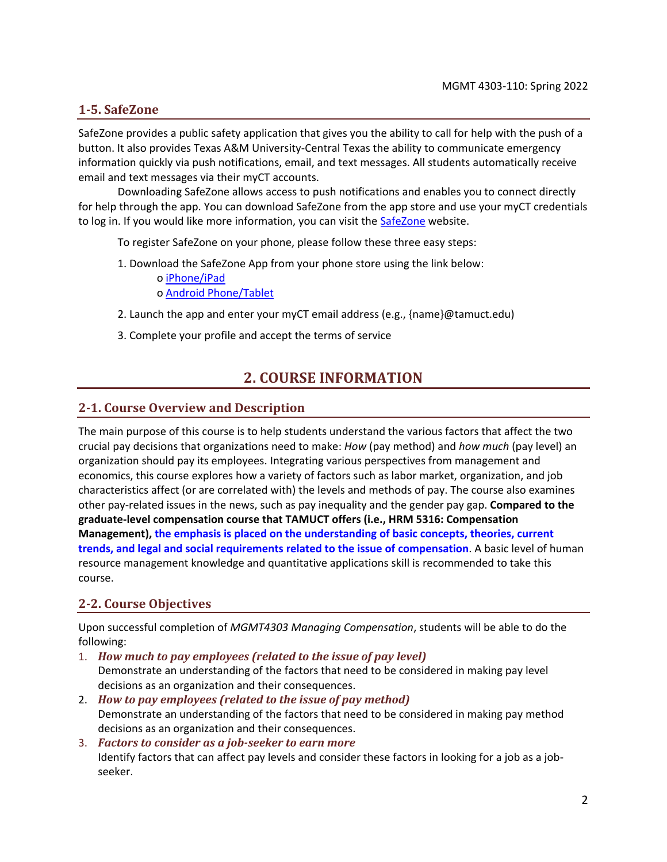### **1-5. SafeZone**

<span id="page-1-0"></span>SafeZone provides a public safety application that gives you the ability to call for help with the push of a button. It also provides Texas A&M University-Central Texas the ability to communicate emergency information quickly via push notifications, email, and text messages. All students automatically receive email and text messages via their myCT accounts.

Downloading SafeZone allows access to push notifications and enables you to connect directly for help through the app. You can download SafeZone from the app store and use your myCT credentials to log in. If you would like more information, you can visit the [SafeZone](http://www.safezoneapp.com/) website.

To register SafeZone on your phone, please follow these three easy steps:

1. Download the SafeZone App from your phone store using the link below: o [iPhone/iPad](https://apps.apple.com/app/safezone/id533054756)

o [Android Phone/Tablet](https://play.google.com/store/apps/details?id=com.criticalarc.safezoneapp)

- 2. Launch the app and enter your myCT email address (e.g., {name}@tamuct.edu)
- 3. Complete your profile and accept the terms of service

## **2. COURSE INFORMATION**

#### **2-1. Course Overview and Description**

The main purpose of this course is to help students understand the various factors that affect the two crucial pay decisions that organizations need to make: *How* (pay method) and *how much* (pay level) an organization should pay its employees. Integrating various perspectives from management and economics, this course explores how a variety of factors such as labor market, organization, and job characteristics affect (or are correlated with) the levels and methods of pay. The course also examines other pay-related issues in the news, such as pay inequality and the gender pay gap. **Compared to the graduate-level compensation course that TAMUCT offers (i.e., HRM 5316: Compensation Management), the emphasis is placed on the understanding of basic concepts, theories, current trends, and legal and social requirements related to the issue of compensation**. A basic level of human resource management knowledge and quantitative applications skill is recommended to take this course.

## **2-2. Course Objectives**

Upon successful completion of *MGMT4303 Managing Compensation*, students will be able to do the following:

- 1. *How much to pay employees (related to the issue of pay level)* Demonstrate an understanding of the factors that need to be considered in making pay level decisions as an organization and their consequences.
- 2. *How to pay employees (related to the issue of pay method)* Demonstrate an understanding of the factors that need to be considered in making pay method decisions as an organization and their consequences.
- 3. *Factors to consider as a job-seeker to earn more* Identify factors that can affect pay levels and consider these factors in looking for a job as a jobseeker.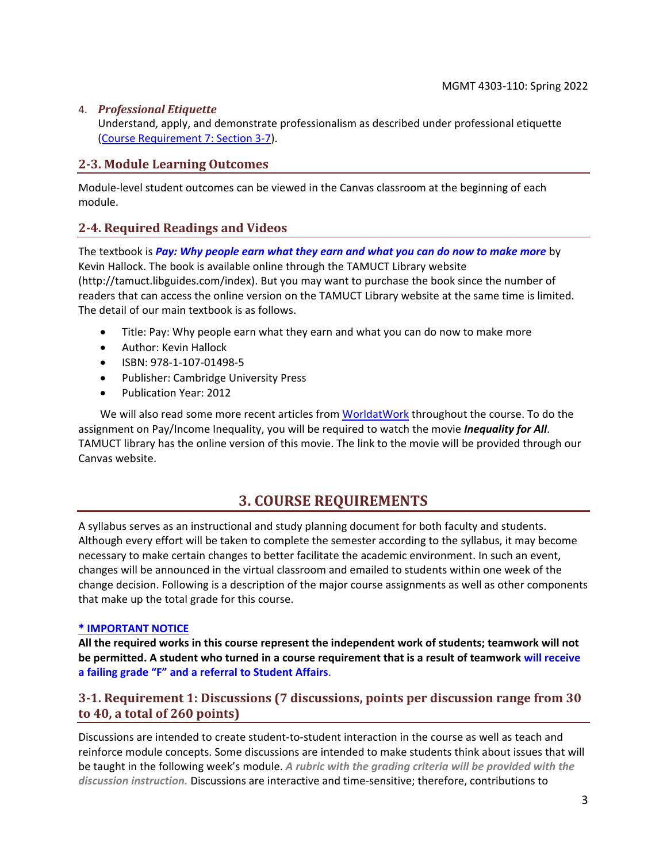#### 4. *Professional Etiquette*

Understand, apply, and demonstrate professionalism as described under professional etiquette [\(Course Requirement 7: Section 3-7\)](#page-4-0).

### **2-3. Module Learning Outcomes**

Module-level student outcomes can be viewed in the Canvas classroom at the beginning of each module.

## **2-4. Required Readings and Videos**

The textbook is *Pay: Why people earn what they earn and what you can do now to make more* by Kevin Hallock. The book is available online through the TAMUCT Library website (http://tamuct.libguides.com/index). But you may want to purchase the book since the number of readers that can access the online version on the TAMUCT Library website at the same time is limited. The detail of our main textbook is as follows.

- Title: Pay: Why people earn what they earn and what you can do now to make more
- Author: Kevin Hallock
- ISBN: 978-1-107-01498-5
- Publisher: Cambridge University Press
- Publication Year: 2012

We will also read some more recent articles from [WorldatWork](https://worldatwork.org/) throughout the course. To do the assignment on Pay/Income Inequality, you will be required to watch the movie *Inequality for All*. TAMUCT library has the online version of this movie. The link to the movie will be provided through our Canvas website.

## **3. COURSE REQUIREMENTS**

<span id="page-2-0"></span>A syllabus serves as an instructional and study planning document for both faculty and students. Although every effort will be taken to complete the semester according to the syllabus, it may become necessary to make certain changes to better facilitate the academic environment. In such an event, changes will be announced in the virtual classroom and emailed to students within one week of the change decision. Following is a description of the major course assignments as well as other components that make up the total grade for this course.

#### **\* IMPORTANT NOTICE**

**All the required works in this course represent the independent work of students; teamwork will not be permitted. A student who turned in a course requirement that is a result of teamwork will receive a failing grade "F" and a referral to Student Affairs**.

## **3-1. Requirement 1: Discussions (7 discussions, points per discussion range from 30 to 40, a total of 260 points)**

Discussions are intended to create student-to-student interaction in the course as well as teach and reinforce module concepts. Some discussions are intended to make students think about issues that will be taught in the following week's module. *A rubric with the grading criteria will be provided with the discussion instruction.* Discussions are interactive and time-sensitive; therefore, contributions to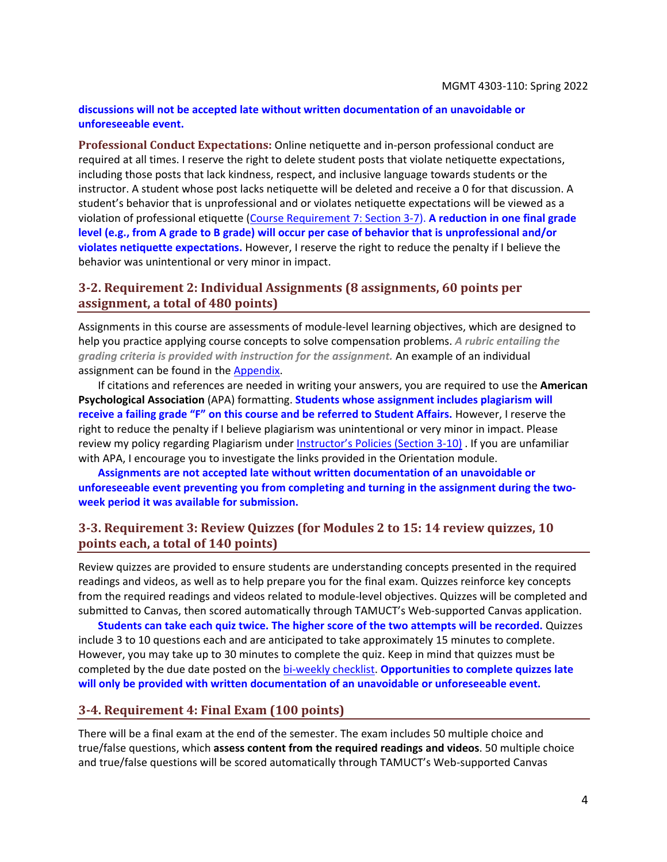#### **discussions will not be accepted late without written documentation of an unavoidable or unforeseeable event.**

**Professional Conduct Expectations:** Online netiquette and in-person professional conduct are required at all times. I reserve the right to delete student posts that violate netiquette expectations, including those posts that lack kindness, respect, and inclusive language towards students or the instructor. A student whose post lacks netiquette will be deleted and receive a 0 for that discussion. A student's behavior that is unprofessional and or violates netiquette expectations will be viewed as a violation of professional etiquette [\(Course Requirement 7: Section 3-7\)](#page-4-0). **A reduction in one final grade level (e.g., from A grade to B grade) will occur per case of behavior that is unprofessional and/or violates netiquette expectations.** However, I reserve the right to reduce the penalty if I believe the behavior was unintentional or very minor in impact.

### **3-2. Requirement 2: Individual Assignments (8 assignments, 60 points per assignment, a total of 480 points)**

Assignments in this course are assessments of module-level learning objectives, which are designed to help you practice applying course concepts to solve compensation problems. *A rubric entailing the grading criteria is provided with instruction for the assignment.* An example of an individual assignment can be found in the [Appendix.](#page-21-0)

If citations and references are needed in writing your answers, you are required to use the **American Psychological Association** (APA) formatting. **Students whose assignment includes plagiarism will receive a failing grade "F" on this course and be referred to Student Affairs.** However, I reserve the right to reduce the penalty if I believe plagiarism was unintentional or very minor in impact. Please review my policy regarding Plagiarism under Instructor's Policies [\(Section 3-10\)](#page-5-0) . If you are unfamiliar with APA, I encourage you to investigate the links provided in the Orientation module.

**Assignments are not accepted late without written documentation of an unavoidable or unforeseeable event preventing you from completing and turning in the assignment during the twoweek period it was available for submission.**

### **3-3. Requirement 3: Review Quizzes (for Modules 2 to 15: 14 review quizzes, 10 points each, a total of 140 points)**

Review quizzes are provided to ensure students are understanding concepts presented in the required readings and videos, as well as to help prepare you for the final exam. Quizzes reinforce key concepts from the required readings and videos related to module-level objectives. Quizzes will be completed and submitted to Canvas, then scored automatically through TAMUCT's Web-supported Canvas application.

**Students can take each quiz twice. The higher score of the two attempts will be recorded.** Quizzes include 3 to 10 questions each and are anticipated to take approximately 15 minutes to complete. However, you may take up to 30 minutes to complete the quiz. Keep in mind that quizzes must be completed by the due date posted on the [bi-weekly checklist.](#page-7-0) **Opportunities to complete quizzes late will only be provided with written documentation of an unavoidable or unforeseeable event.**

#### **3-4. Requirement 4: Final Exam (100 points)**

There will be a final exam at the end of the semester. The exam includes 50 multiple choice and true/false questions, which **assess content from the required readings and videos**. 50 multiple choice and true/false questions will be scored automatically through TAMUCT's Web-supported Canvas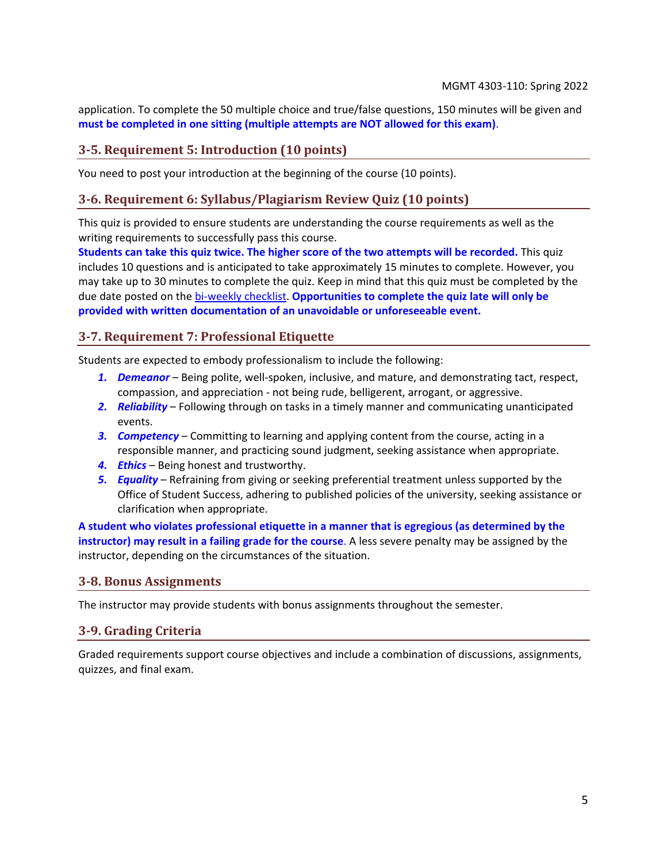application. To complete the 50 multiple choice and true/false questions, 150 minutes will be given and **must be completed in one sitting (multiple attempts are NOT allowed for this exam)**.

#### **3-5. Requirement 5: Introduction (10 points)**

You need to post your introduction at the beginning of the course (10 points).

#### **3-6. Requirement 6: Syllabus/Plagiarism Review Quiz (10 points)**

This quiz is provided to ensure students are understanding the course requirements as well as the writing requirements to successfully pass this course.

**Students can take this quiz twice. The higher score of the two attempts will be recorded.** This quiz includes 10 questions and is anticipated to take approximately 15 minutes to complete. However, you may take up to 30 minutes to complete the quiz. Keep in mind that this quiz must be completed by the due date posted on the [bi-weekly checklist.](#page-7-0) **Opportunities to complete the quiz late will only be provided with written documentation of an unavoidable or unforeseeable event.**

#### <span id="page-4-0"></span>**3-7. Requirement 7: Professional Etiquette**

Students are expected to embody professionalism to include the following:

- *1. Demeanor* Being polite, well-spoken, inclusive, and mature, and demonstrating tact, respect, compassion, and appreciation - not being rude, belligerent, arrogant, or aggressive.
- *2. Reliability* Following through on tasks in a timely manner and communicating unanticipated events.
- *3. Competency* Committing to learning and applying content from the course, acting in a responsible manner, and practicing sound judgment, seeking assistance when appropriate.
- *4. Ethics* Being honest and trustworthy.
- *5. Equality* Refraining from giving or seeking preferential treatment unless supported by the Office of Student Success, adhering to published policies of the university, seeking assistance or clarification when appropriate.

**A student who violates professional etiquette in a manner that is egregious (as determined by the instructor) may result in a failing grade for the course**. A less severe penalty may be assigned by the instructor, depending on the circumstances of the situation.

#### **3-8. Bonus Assignments**

The instructor may provide students with bonus assignments throughout the semester.

#### <span id="page-4-1"></span>**3-9. Grading Criteria**

Graded requirements support course objectives and include a combination of discussions, assignments, quizzes, and final exam.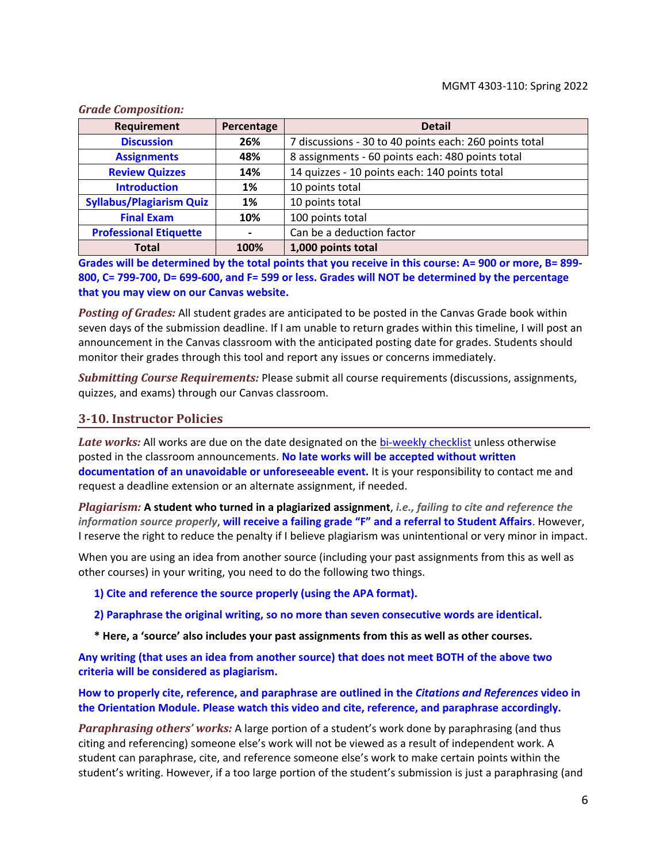| Requirement                     | Percentage | <b>Detail</b>                                          |
|---------------------------------|------------|--------------------------------------------------------|
| <b>Discussion</b>               | 26%        | 7 discussions - 30 to 40 points each: 260 points total |
| <b>Assignments</b>              | 48%        | 8 assignments - 60 points each: 480 points total       |
| <b>Review Quizzes</b>           | 14%        | 14 quizzes - 10 points each: 140 points total          |
| <b>Introduction</b>             | 1%         | 10 points total                                        |
| <b>Syllabus/Plagiarism Quiz</b> | 1%         | 10 points total                                        |
| <b>Final Exam</b>               | 10%        | 100 points total                                       |
| <b>Professional Etiquette</b>   |            | Can be a deduction factor                              |
| <b>Total</b>                    | 100%       | 1,000 points total                                     |

*Grade Composition:*

**Grades will be determined by the total points that you receive in this course: A= 900 or more, B= 899- 800, C= 799-700, D= 699-600, and F= 599 or less. Grades will NOT be determined by the percentage that you may view on our Canvas website.**

*Posting of Grades:* All student grades are anticipated to be posted in the Canvas Grade book within seven days of the submission deadline. If I am unable to return grades within this timeline, I will post an announcement in the Canvas classroom with the anticipated posting date for grades. Students should monitor their grades through this tool and report any issues or concerns immediately.

*Submitting Course Requirements:* Please submit all course requirements (discussions, assignments, quizzes, and exams) through our Canvas classroom.

#### <span id="page-5-0"></span>**3-10. Instructor Policies**

Late works: All works are due on the date designated on the [bi-weekly checklist](#page-7-0) unless otherwise posted in the classroom announcements. **No late works will be accepted without written documentation of an unavoidable or unforeseeable event.** It is your responsibility to contact me and request a deadline extension or an alternate assignment, if needed.

*Plagiarism:* **A student who turned in a plagiarized assignment**, *i.e., failing to cite and reference the information source properly*, **will receive a failing grade "F" and a referral to Student Affairs**. However, I reserve the right to reduce the penalty if I believe plagiarism was unintentional or very minor in impact.

When you are using an idea from another source (including your past assignments from this as well as other courses) in your writing, you need to do the following two things.

**1) Cite and reference the source properly (using the APA format).**

**2) Paraphrase the original writing, so no more than seven consecutive words are identical.**

**\* Here, a 'source' also includes your past assignments from this as well as other courses.**

**Any writing (that uses an idea from another source) that does not meet BOTH of the above two criteria will be considered as plagiarism.**

**How to properly cite, reference, and paraphrase are outlined in the** *Citations and References* **video in the Orientation Module. Please watch this video and cite, reference, and paraphrase accordingly.** 

*Paraphrasing others' works:* A large portion of a student's work done by paraphrasing (and thus citing and referencing) someone else's work will not be viewed as a result of independent work. A student can paraphrase, cite, and reference someone else's work to make certain points within the student's writing. However, if a too large portion of the student's submission is just a paraphrasing (and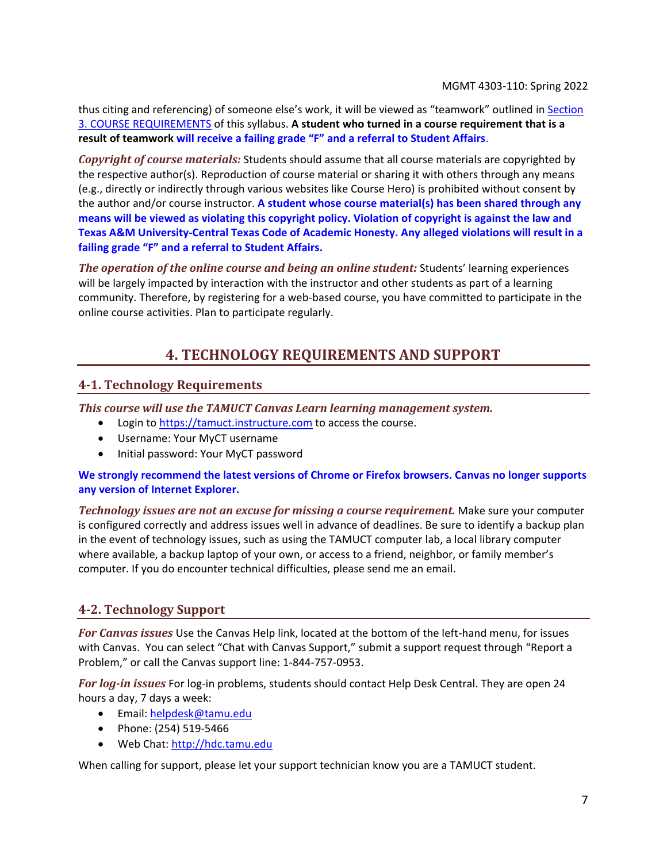thus citing and referencing) of someone else's work, it will be viewed as "teamwork" outlined in [Section](#page-2-0)  [3. COURSE REQUIREMENTS](#page-2-0) of this syllabus. **A student who turned in a course requirement that is a result of teamwork will receive a failing grade "F" and a referral to Student Affairs**.

*Copyright of course materials:* Students should assume that all course materials are copyrighted by the respective author(s). Reproduction of course material or sharing it with others through any means (e.g., directly or indirectly through various websites like Course Hero) is prohibited without consent by the author and/or course instructor. **A student whose course material(s) has been shared through any means will be viewed as violating this copyright policy. Violation of copyright is against the law and Texas A&M University-Central Texas Code of Academic Honesty. Any alleged violations will result in a failing grade "F" and a referral to Student Affairs.**

<span id="page-6-1"></span>*The operation of the online course and being an online student:* Students' learning experiences will be largely impacted by interaction with the instructor and other students as part of a learning community. Therefore, by registering for a web-based course, you have committed to participate in the online course activities. Plan to participate regularly.

## **4. TECHNOLOGY REQUIREMENTS AND SUPPORT**

## <span id="page-6-0"></span>**4-1. Technology Requirements**

*This course will use the TAMUCT Canvas Learn learning management system.*

- Login to [https://tamuct.instructure.com](https://tamuct.instructure.com/) to access the course.
- Username: Your MyCT username
- Initial password: Your MyCT password

#### **We strongly recommend the latest versions of Chrome or Firefox browsers. Canvas no longer supports any version of Internet Explorer.**

*Technology issues are not an excuse for missing a course requirement.* Make sure your computer is configured correctly and address issues well in advance of deadlines. Be sure to identify a backup plan in the event of technology issues, such as using the TAMUCT computer lab, a local library computer where available, a backup laptop of your own, or access to a friend, neighbor, or family member's computer. If you do encounter technical difficulties, please send me an email.

## **4-2. Technology Support**

*For Canvas issues* Use the Canvas Help link, located at the bottom of the left-hand menu, for issues with Canvas. You can select "Chat with Canvas Support," submit a support request through "Report a Problem," or call the Canvas support line: 1-844-757-0953.

*For log-in issues* For log-in problems, students should contact Help Desk Central. They are open 24 hours a day, 7 days a week:

- Email: [helpdesk@tamu.edu](mailto:helpdesk@tamu.edu)
- Phone: (254) 519-5466
- Web Chat[: http://hdc.tamu.edu](http://hdc.tamu.edu/)

When calling for support, please let your support technician know you are a TAMUCT student.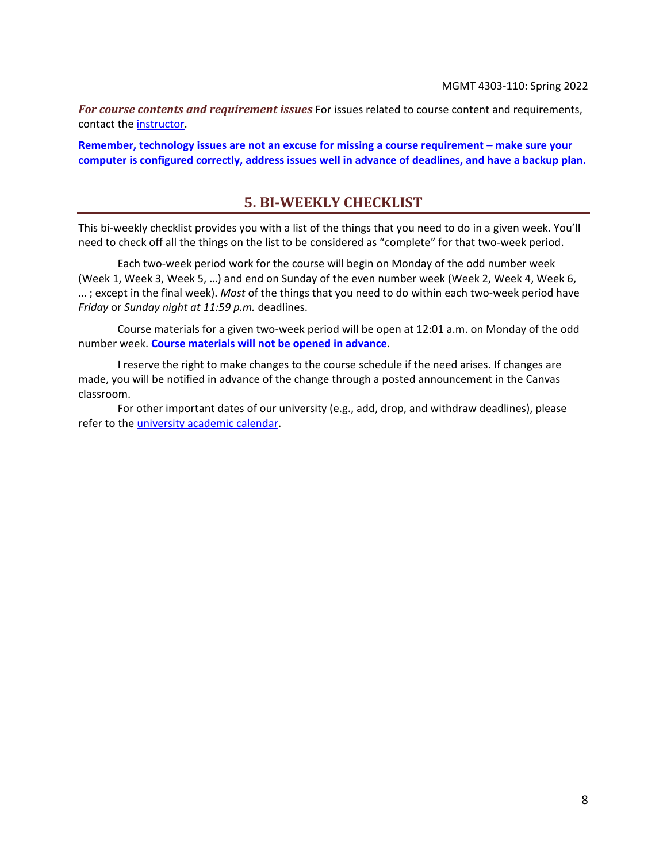*For course contents and requirement issues* For issues related to course content and requirements, contact the [instructor.](#page-0-0)

<span id="page-7-0"></span>**Remember, technology issues are not an excuse for missing a course requirement – make sure your computer is configured correctly, address issues well in advance of deadlines, and have a backup plan.**

## **5. BI-WEEKLY CHECKLIST**

This bi-weekly checklist provides you with a list of the things that you need to do in a given week. You'll need to check off all the things on the list to be considered as "complete" for that two-week period.

Each two-week period work for the course will begin on Monday of the odd number week (Week 1, Week 3, Week 5, …) and end on Sunday of the even number week (Week 2, Week 4, Week 6, … ; except in the final week). *Most* of the things that you need to do within each two-week period have *Friday* or *Sunday night at 11:59 p.m.* deadlines.

Course materials for a given two-week period will be open at 12:01 a.m. on Monday of the odd number week. **Course materials will not be opened in advance**.

I reserve the right to make changes to the course schedule if the need arises. If changes are made, you will be notified in advance of the change through a posted announcement in the Canvas classroom.

For other important dates of our university (e.g., add, drop, and withdraw deadlines), please refer to the [university academic calendar.](http://catalog.tamuct.edu/undergraduate_catalog/general-information/academic20calendars20and20final20exam20schedule/)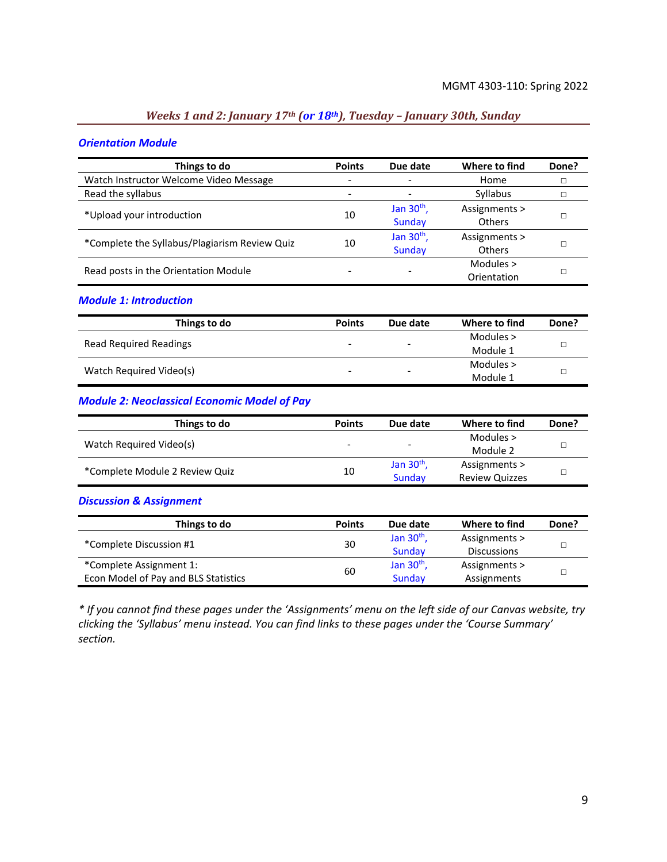## *Weeks 1 and 2: January 17th (or 18th), Tuesday – January 30th, Sunday*

#### *Orientation Module*

| Things to do                                  | <b>Points</b>            | Due date                      | Where to find                  | Done? |
|-----------------------------------------------|--------------------------|-------------------------------|--------------------------------|-------|
| Watch Instructor Welcome Video Message        | ۰                        | $\overline{\phantom{a}}$      | Home                           |       |
| Read the syllabus                             | $\overline{\phantom{a}}$ | $\overline{\phantom{a}}$      | Syllabus                       |       |
| *Upload your introduction                     | 10                       | Jan $30th$ ,<br><b>Sunday</b> | Assignments ><br><b>Others</b> |       |
| *Complete the Syllabus/Plagiarism Review Quiz | 10                       | Jan $30th$ ,<br>Sunday        | Assignments ><br><b>Others</b> |       |
| Read posts in the Orientation Module          |                          |                               | Modules $>$<br>Orientation     |       |

#### *Module 1: Introduction*

| Things to do                  | <b>Points</b>            | Due date                 | Where to find | Done? |
|-------------------------------|--------------------------|--------------------------|---------------|-------|
|                               | $\overline{\phantom{0}}$ | $\overline{\phantom{a}}$ | Modules >     |       |
| <b>Read Required Readings</b> |                          |                          | Module 1      |       |
|                               | $\overline{\phantom{0}}$ | $\overline{\phantom{0}}$ | Modules $>$   |       |
| Watch Required Video(s)       |                          |                          | Module 1      |       |

#### *Module 2: Neoclassical Economic Model of Pay*

| Things to do                   | <b>Points</b> | Due date                     | Where to find         | Done? |
|--------------------------------|---------------|------------------------------|-----------------------|-------|
|                                |               |                              | Modules $>$           |       |
| Watch Required Video(s)        | $\sim$        | $\qquad \qquad \blacksquare$ | Module 2              |       |
|                                |               | Jan $30th$ ,                 | Assignments >         |       |
| *Complete Module 2 Review Quiz | 10            | Sunday                       | <b>Review Quizzes</b> |       |

#### *Discussion & Assignment*

| Things to do                         | <b>Points</b> | Due date     | Where to find      | Done? |
|--------------------------------------|---------------|--------------|--------------------|-------|
| *Complete Discussion #1              | 30            | Jan $30th$ , | Assignments >      |       |
|                                      |               | Sunday       | <b>Discussions</b> |       |
| *Complete Assignment 1:              |               | Jan $30th$ , | Assignments >      |       |
| Econ Model of Pay and BLS Statistics | 60            | Sunday       | Assignments        |       |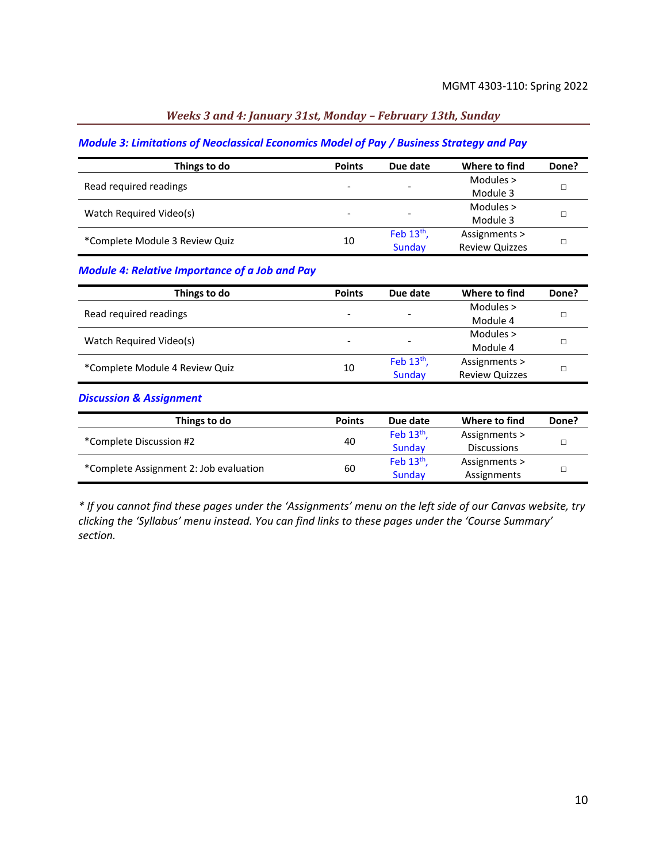#### *Weeks 3 and 4: January 31st, Monday – February 13th, Sunday*

#### *Module 3: Limitations of Neoclassical Economics Model of Pay / Business Strategy and Pay*

| Things to do                   | <b>Points</b> | Due date                 | Where to find         | Done? |
|--------------------------------|---------------|--------------------------|-----------------------|-------|
| Read required readings         | -             | $\overline{\phantom{a}}$ | Modules $>$           |       |
|                                |               |                          | Module 3              |       |
| Watch Required Video(s)        | -             | $\overline{\phantom{a}}$ | Modules $>$           |       |
|                                |               |                          | Module 3              |       |
| *Complete Module 3 Review Quiz | 10            | Feb $13th$ ,             | Assignments >         |       |
|                                |               | Sunday                   | <b>Review Quizzes</b> |       |

### *Module 4: Relative Importance of a Job and Pay*

| Things to do                   | <b>Points</b>            | Due date                 | Where to find         | Done? |
|--------------------------------|--------------------------|--------------------------|-----------------------|-------|
| Read required readings         |                          |                          | Modules $>$           |       |
|                                | $\overline{\phantom{a}}$ | $\overline{\phantom{a}}$ | Module 4              |       |
|                                |                          |                          | Modules $>$           |       |
| Watch Required Video(s)        |                          | $\overline{\phantom{a}}$ | Module 4              |       |
|                                |                          | Feb $13th$ ,             | Assignments >         |       |
| *Complete Module 4 Review Quiz | 10                       | Sunday                   | <b>Review Quizzes</b> |       |

#### *Discussion & Assignment*

| Things to do                           | <b>Points</b> | Due date     | Where to find      | Done? |
|----------------------------------------|---------------|--------------|--------------------|-------|
| *Complete Discussion #2                | 40            | Feb $13th$ , | Assignments >      |       |
|                                        |               | Sunday       | <b>Discussions</b> |       |
| *Complete Assignment 2: Job evaluation | 60            | Feb $13th$ , | Assignments >      |       |
|                                        |               | Sunday       | Assignments        |       |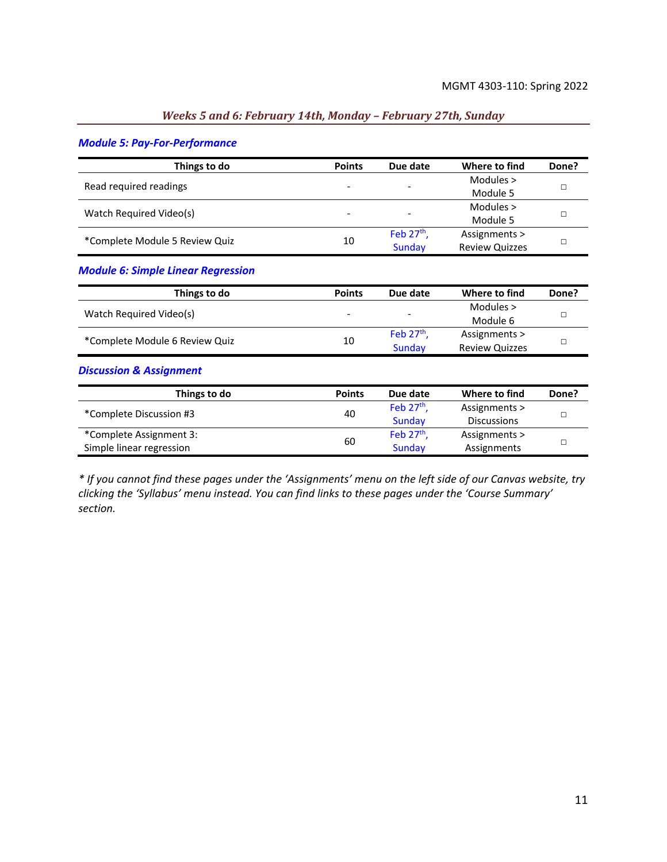#### *Weeks 5 and 6: February 14th, Monday – February 27th, Sunday*

#### *Module 5: Pay-For-Performance*

| Things to do                   | <b>Points</b>            | Due date                     | Where to find         | Done? |
|--------------------------------|--------------------------|------------------------------|-----------------------|-------|
| Read required readings         |                          |                              | Modules $>$           |       |
|                                | $\overline{\phantom{0}}$ | $\qquad \qquad \blacksquare$ | Module 5              |       |
| Watch Required Video(s)        | $\overline{\phantom{a}}$ | $\overline{\phantom{0}}$     | Modules $>$           |       |
|                                |                          |                              | Module 5              |       |
| *Complete Module 5 Review Quiz | 10                       | Feb $27th$ ,                 | Assignments >         |       |
|                                |                          | <b>Sunday</b>                | <b>Review Quizzes</b> |       |

#### *Module 6: Simple Linear Regression*

| Things to do                   | <b>Points</b>            | Due date                 | Where to find         | Done? |
|--------------------------------|--------------------------|--------------------------|-----------------------|-------|
| Watch Required Video(s)        | $\overline{\phantom{a}}$ | $\overline{\phantom{a}}$ | Modules >             |       |
|                                |                          |                          | Module 6              |       |
|                                |                          | Feb $27th$ .             | Assignments >         |       |
| *Complete Module 6 Review Quiz | 10                       | Sunday                   | <b>Review Quizzes</b> |       |

#### *Discussion & Assignment*

| Things to do             | <b>Points</b> | Due date     | Where to find      | Done? |
|--------------------------|---------------|--------------|--------------------|-------|
| *Complete Discussion #3  | 40            | Feb $27th$ . | Assignments >      |       |
|                          |               | Sunday       | <b>Discussions</b> |       |
| *Complete Assignment 3:  | 60            | Feb $27th$ , | Assignments >      |       |
| Simple linear regression |               | Sunday       | Assignments        |       |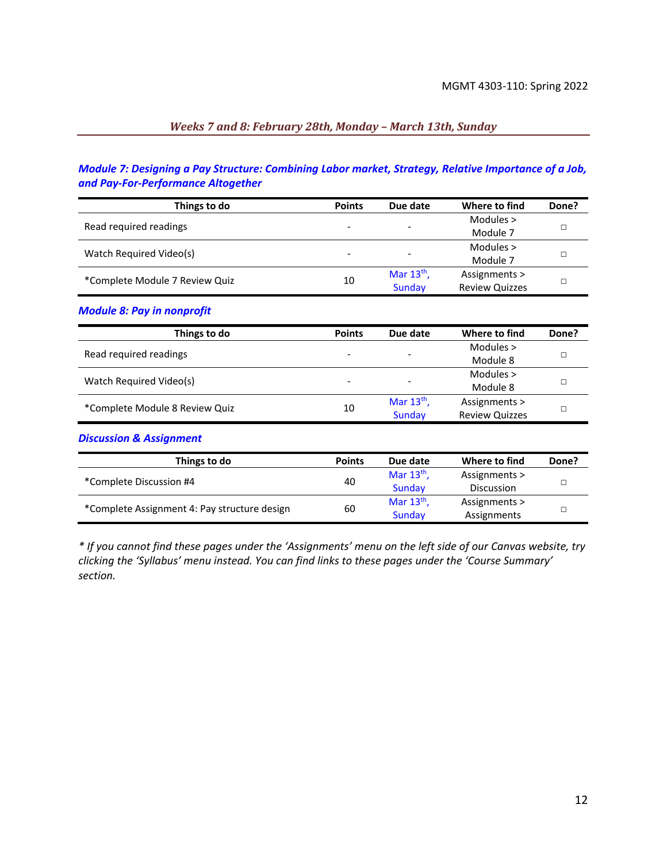## *Weeks 7 and 8: February 28th, Monday – March 13th, Sunday*

### *Module 7: Designing a Pay Structure: Combining Labor market, Strategy, Relative Importance of a Job, and Pay-For-Performance Altogether*

| Things to do                   | <b>Points</b>            | Due date                 | Where to find         | Done? |
|--------------------------------|--------------------------|--------------------------|-----------------------|-------|
| Read required readings         |                          |                          | Modules $>$           |       |
|                                | $\overline{\phantom{a}}$ | $\overline{\phantom{a}}$ | Module 7              |       |
| Watch Required Video(s)        | $\overline{\phantom{a}}$ | $\overline{\phantom{a}}$ | Modules >             |       |
|                                |                          |                          | Module 7              |       |
| *Complete Module 7 Review Quiz | 10                       | Mar $13th$ ,             | Assignments >         |       |
|                                |                          | Sunday                   | <b>Review Quizzes</b> |       |

#### *Module 8: Pay in nonprofit*

| Things to do                   | <b>Points</b>            | Due date                 | Where to find         | Done? |
|--------------------------------|--------------------------|--------------------------|-----------------------|-------|
| Read required readings         |                          |                          | Modules $>$           |       |
|                                | $\overline{\phantom{a}}$ | $\overline{\phantom{0}}$ | Module 8              |       |
|                                |                          |                          | Modules >             |       |
| Watch Required Video(s)        | $\overline{\phantom{a}}$ | $\overline{\phantom{0}}$ | Module 8              |       |
| *Complete Module 8 Review Quiz |                          | Mar $13th$ ,             | Assignments >         |       |
|                                | 10                       | Sunday                   | <b>Review Quizzes</b> |       |

#### *Discussion & Assignment*

| Things to do                                 | <b>Points</b> | Due date     | Where to find | Done? |
|----------------------------------------------|---------------|--------------|---------------|-------|
| *Complete Discussion #4                      | 40            | Mar $13th$ , | Assignments > |       |
|                                              |               | Sunday       | Discussion    |       |
| *Complete Assignment 4: Pay structure design | 60            | Mar $13th$ , | Assignments > |       |
|                                              |               | Sunday       | Assignments   |       |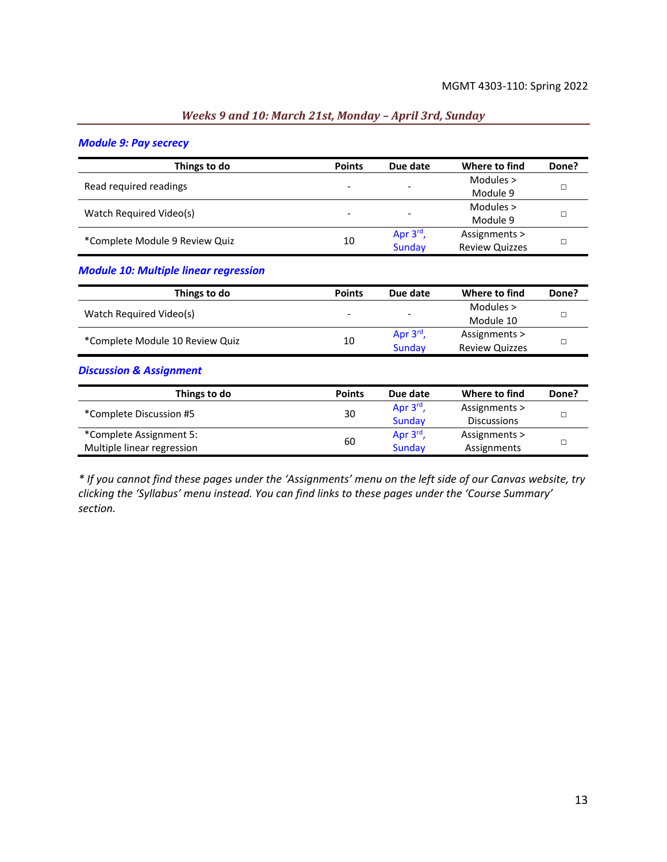#### *Weeks 9 and 10: March 21st, Monday – April 3rd, Sunday*

#### *Module 9: Pay secrecy*

| Things to do                   | <b>Points</b>            | Due date                 | Where to find         | Done? |
|--------------------------------|--------------------------|--------------------------|-----------------------|-------|
|                                |                          |                          | Modules $>$           |       |
| Read required readings         | -                        | $\overline{\phantom{a}}$ | Module 9              |       |
|                                |                          |                          | Modules $>$           |       |
| Watch Required Video(s)        | $\overline{\phantom{a}}$ | $\overline{\phantom{a}}$ | Module 9              |       |
| *Complete Module 9 Review Quiz | 10                       | Apr $3^{\text{rd}}$ ,    | Assignments >         |       |
|                                |                          | Sunday                   | <b>Review Quizzes</b> |       |

#### *Module 10: Multiple linear regression*

| Things to do                    | <b>Points</b>            | Due date                     | Where to find         | Done? |
|---------------------------------|--------------------------|------------------------------|-----------------------|-------|
| Watch Required Video(s)         | $\overline{\phantom{a}}$ | $\qquad \qquad \blacksquare$ | Modules >             |       |
|                                 |                          |                              | Module 10             |       |
| *Complete Module 10 Review Quiz | 10                       | Apr 3 <sup>rd</sup>          | Assignments >         |       |
|                                 |                          | Sunday                       | <b>Review Quizzes</b> |       |

#### *Discussion & Assignment*

| Things to do               | <b>Points</b> | Due date              | Where to find      | Done? |
|----------------------------|---------------|-----------------------|--------------------|-------|
| *Complete Discussion #5    | 30            | Apr $3^{\text{rd}}$ , | Assignments >      |       |
|                            |               | Sunday                | <b>Discussions</b> |       |
| *Complete Assignment 5:    | 60            | Apr $3rd$ ,           | Assignments >      |       |
| Multiple linear regression |               | Sunday                | Assignments        |       |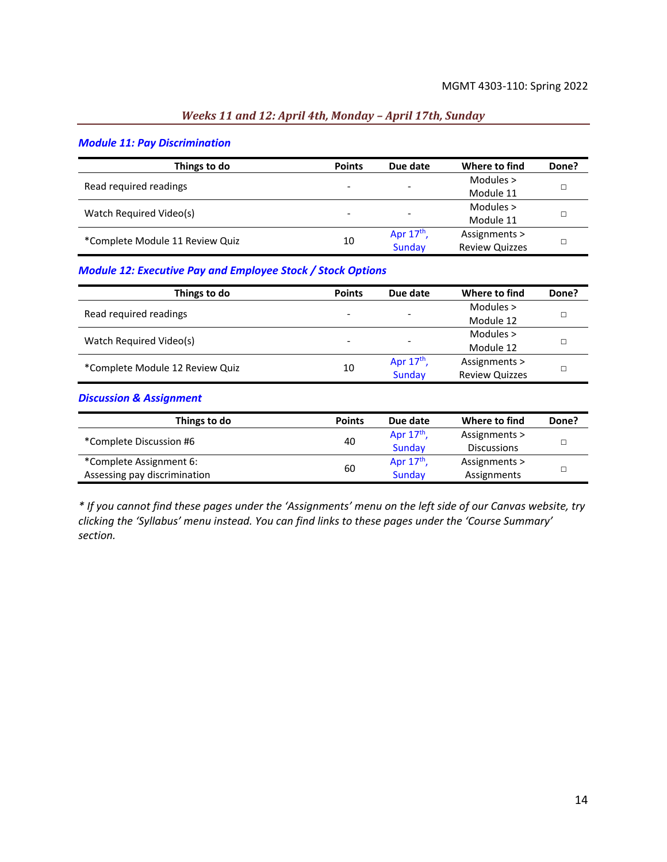#### *Weeks 11 and 12: April 4th, Monday – April 17th, Sunday*

#### *Module 11: Pay Discrimination*

| Things to do                    | <b>Points</b> | Due date                 | Where to find         | Done? |
|---------------------------------|---------------|--------------------------|-----------------------|-------|
| Read required readings          | -             |                          | Modules $>$           |       |
|                                 |               | $\overline{\phantom{a}}$ | Module 11             |       |
|                                 |               |                          | Modules $>$           |       |
| Watch Required Video(s)         |               | $\overline{\phantom{a}}$ | Module 11             |       |
| *Complete Module 11 Review Quiz | 10            | Apr $17th$ ,             | Assignments >         |       |
|                                 |               | Sunday                   | <b>Review Quizzes</b> |       |

#### *Module 12: Executive Pay and Employee Stock / Stock Options*

| Things to do                    | <b>Points</b> | Due date                 | Where to find         | Done? |
|---------------------------------|---------------|--------------------------|-----------------------|-------|
| Read required readings          |               |                          | Modules $>$           |       |
|                                 |               | $\overline{\phantom{a}}$ | Module 12             |       |
|                                 |               |                          | Modules $>$           |       |
| Watch Required Video(s)         |               | -                        | Module 12             |       |
| *Complete Module 12 Review Quiz |               | Apr $17th$ ,             | Assignments >         |       |
|                                 | 10            | Sunday                   | <b>Review Quizzes</b> |       |

#### *Discussion & Assignment*

| Things to do                 | <b>Points</b> | Due date     | Where to find      | Done? |
|------------------------------|---------------|--------------|--------------------|-------|
| *Complete Discussion #6      | 40            | Apr $17th$ , | Assignments >      |       |
|                              |               | Sunday       | <b>Discussions</b> |       |
| *Complete Assignment 6:      | 60            | Apr $17th$ , | Assignments >      |       |
| Assessing pay discrimination |               | Sunday       | Assignments        |       |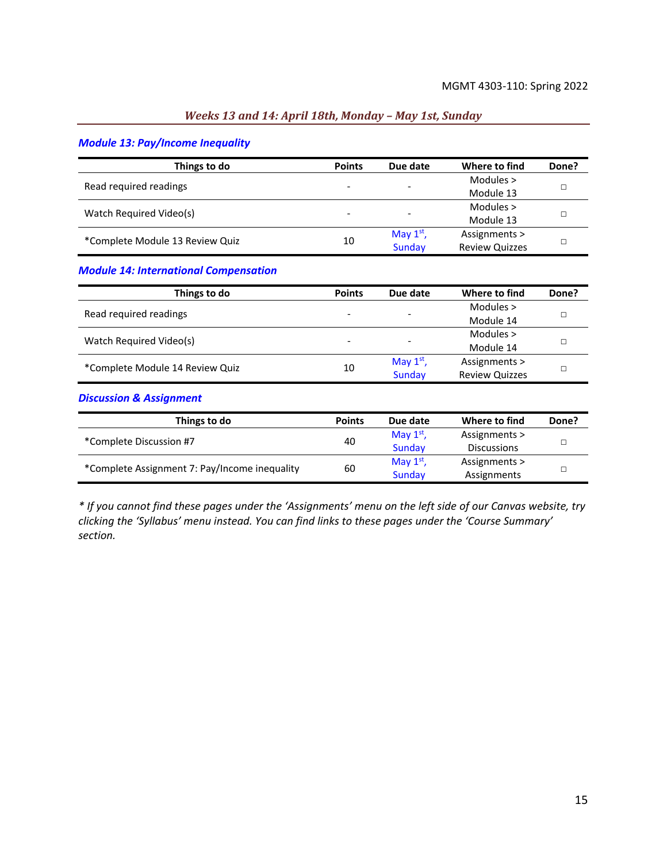#### *Weeks 13 and 14: April 18th, Monday – May 1st, Sunday*

#### *Module 13: Pay/Income Inequality*

| Things to do                    | <b>Points</b>            | Due date                 | Where to find         | Done? |
|---------------------------------|--------------------------|--------------------------|-----------------------|-------|
|                                 |                          |                          | Modules $>$           |       |
| Read required readings          | $\overline{\phantom{a}}$ | $\overline{\phantom{0}}$ | Module 13             |       |
| Watch Required Video(s)         |                          | $\overline{\phantom{a}}$ | Modules $>$           |       |
|                                 | $\overline{\phantom{a}}$ |                          | Module 13             |       |
| *Complete Module 13 Review Quiz |                          | May $1st$ ,              | Assignments >         |       |
|                                 | 10                       | Sunday                   | <b>Review Quizzes</b> |       |

#### *Module 14: International Compensation*

| Things to do                    | <b>Points</b>            | Due date                 | Where to find         | Done? |
|---------------------------------|--------------------------|--------------------------|-----------------------|-------|
|                                 |                          |                          | Modules $>$           |       |
| Read required readings          | $\overline{\phantom{0}}$ | $\overline{\phantom{a}}$ | Module 14             |       |
|                                 |                          |                          | Modules $>$           |       |
| Watch Required Video(s)         |                          | $\overline{\phantom{a}}$ | Module 14             |       |
| *Complete Module 14 Review Quiz |                          | May $1st$ ,              | Assignments >         |       |
|                                 | 10                       | Sunday                   | <b>Review Quizzes</b> |       |

#### *Discussion & Assignment*

| Things to do                                  | <b>Points</b> | Due date    | Where to find      | Done? |
|-----------------------------------------------|---------------|-------------|--------------------|-------|
| *Complete Discussion #7                       | 40            | May $1st$ , | Assignments >      |       |
|                                               |               | Sunday      | <b>Discussions</b> |       |
| *Complete Assignment 7: Pay/Income inequality | 60            | May $1st$ , | Assignments >      |       |
|                                               |               | Sunday      | Assignments        |       |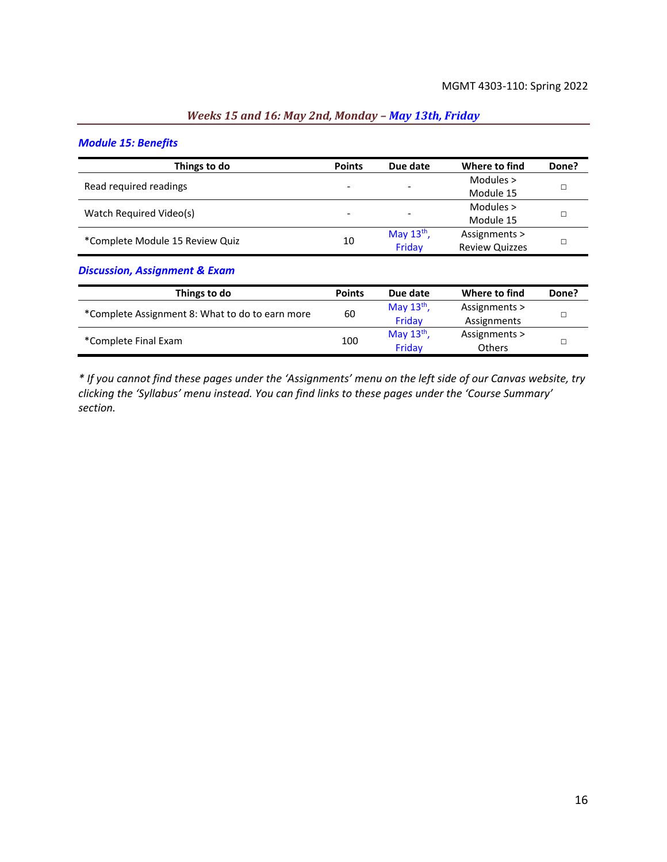#### *Module 15: Benefits*

| Things to do                    | <b>Points</b> | Due date                 | Where to find         | Done? |  |
|---------------------------------|---------------|--------------------------|-----------------------|-------|--|
|                                 | ٠             |                          | Modules $>$           |       |  |
| Read required readings          |               | -                        | Module 15             |       |  |
| Watch Required Video(s)         |               |                          | Modules $>$           |       |  |
|                                 | ۰             | $\overline{\phantom{0}}$ | Module 15             |       |  |
| *Complete Module 15 Review Quiz | 10            | May $13th$ ,             | Assignments >         |       |  |
|                                 |               | Friday                   | <b>Review Quizzes</b> |       |  |

#### *Discussion, Assignment & Exam*

| Things to do                                    | <b>Points</b>       | Due date     | Where to find | Done? |
|-------------------------------------------------|---------------------|--------------|---------------|-------|
|                                                 | 60                  | May $13th$ , | Assignments > |       |
| *Complete Assignment 8: What to do to earn more |                     | Friday       | Assignments   |       |
|                                                 | May $13th$ ,<br>100 |              | Assignments > |       |
| *Complete Final Exam                            |                     | Fridav       | <b>Others</b> |       |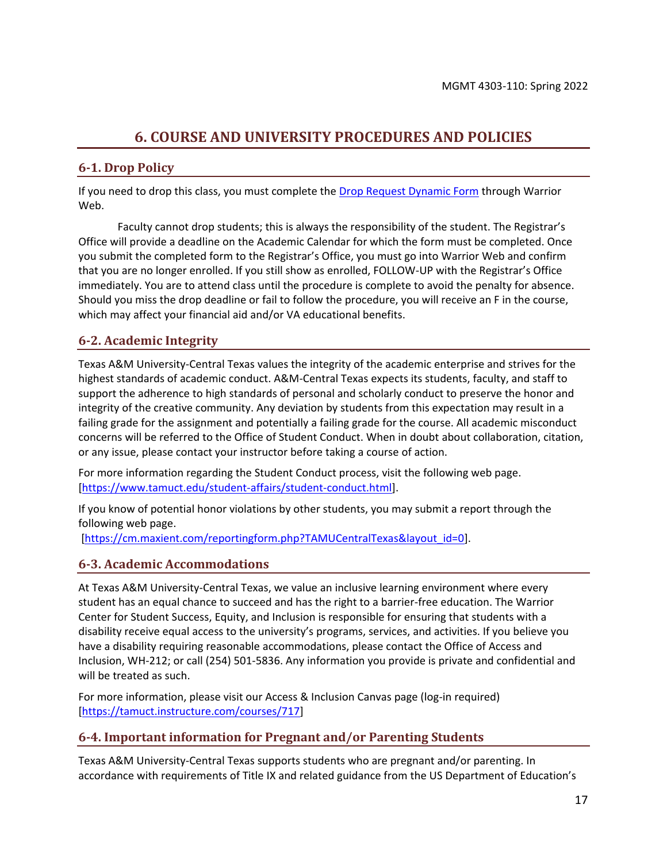## **6. COURSE AND UNIVERSITY PROCEDURES AND POLICIES**

### <span id="page-16-0"></span>**6-1. Drop Policy**

If you need to drop this class, you must complete the [Drop Request Dynamic Form](https://dynamicforms.ngwebsolutions.com/casAuthentication.ashx?InstID=eaed95b9-f2be-45f3-a37d-46928168bc10&targetUrl=https%3A%2F%2Fdynamicforms.ngwebsolutions.com%2FSubmit%2FForm%2FStart%2F53b8369e-0502-4f36-be43-f02a4202f612) through Warrior Web.

Faculty cannot drop students; this is always the responsibility of the student. The Registrar's Office will provide a deadline on the Academic Calendar for which the form must be completed. Once you submit the completed form to the Registrar's Office, you must go into Warrior Web and confirm that you are no longer enrolled. If you still show as enrolled, FOLLOW-UP with the Registrar's Office immediately. You are to attend class until the procedure is complete to avoid the penalty for absence. Should you miss the drop deadline or fail to follow the procedure, you will receive an F in the course, which may affect your financial aid and/or VA educational benefits.

### **6-2. Academic Integrity**

Texas A&M University-Central Texas values the integrity of the academic enterprise and strives for the highest standards of academic conduct. A&M-Central Texas expects its students, faculty, and staff to support the adherence to high standards of personal and scholarly conduct to preserve the honor and integrity of the creative community. Any deviation by students from this expectation may result in a failing grade for the assignment and potentially a failing grade for the course. All academic misconduct concerns will be referred to the Office of Student Conduct. When in doubt about collaboration, citation, or any issue, please contact your instructor before taking a course of action.

For more information regarding the Student Conduct process, visit the following web page. [\[https://www.tamuct.edu/student-affairs/student-conduct.html\]](https://www.tamuct.edu/student-affairs/student-conduct.html).

If you know of potential honor violations by other students, you may submit a report through the following web page.

[\[https://cm.maxient.com/reportingform.php?TAMUCentralTexas&layout\\_id=0\]](https://cm.maxient.com/reportingform.php?TAMUCentralTexas&layout_id=0).

#### **6-3. Academic Accommodations**

At Texas A&M University-Central Texas, we value an inclusive learning environment where every student has an equal chance to succeed and has the right to a barrier-free education. The Warrior Center for Student Success, Equity, and Inclusion is responsible for ensuring that students with a disability receive equal access to the university's programs, services, and activities. If you believe you have a disability requiring reasonable accommodations, please contact the Office of Access and Inclusion, WH-212; or call (254) 501-5836. Any information you provide is private and confidential and will be treated as such.

For more information, please visit our Access & Inclusion Canvas page (log-in required) [\[https://tamuct.instructure.com/courses/717\]](https://tamuct.instructure.com/courses/717)

#### **6-4. Important information for Pregnant and/or Parenting Students**

Texas A&M University-Central Texas supports students who are pregnant and/or parenting. In accordance with requirements of Title IX and related guidance from the US Department of Education's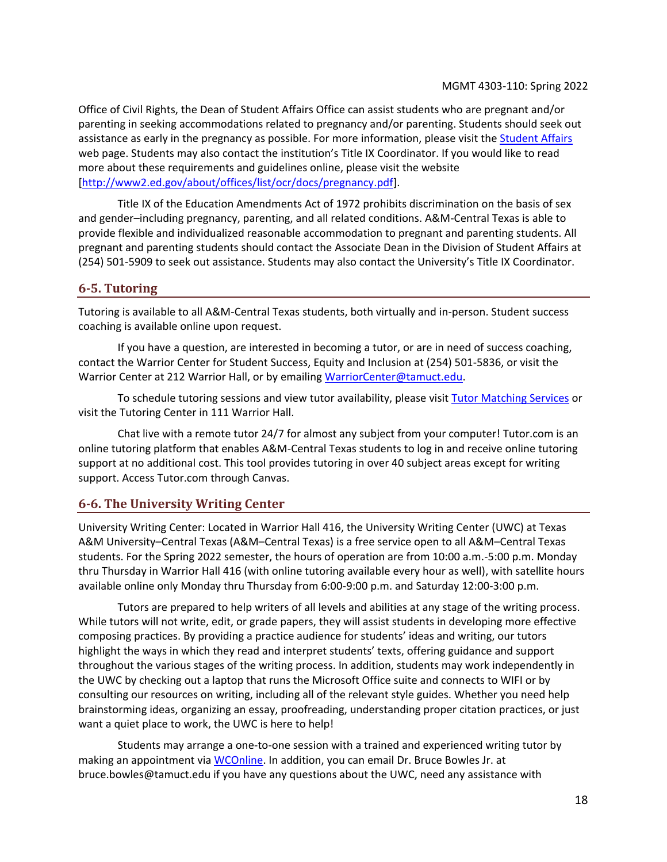Office of Civil Rights, the Dean of Student Affairs Office can assist students who are pregnant and/or parenting in seeking accommodations related to pregnancy and/or parenting. Students should seek out assistance as early in the pregnancy as possible. For more information, please visit the [Student Affairs](https://www.tamuct.edu/student-affairs/index.html) web page. Students may also contact the institution's Title IX Coordinator. If you would like to read more about these requirements and guidelines online, please visit the website [\[http://www2.ed.gov/about/offices/list/ocr/docs/pregnancy.pdf\]](http://www2.ed.gov/about/offices/list/ocr/docs/pregnancy.pdf).

Title IX of the Education Amendments Act of 1972 prohibits discrimination on the basis of sex and gender–including pregnancy, parenting, and all related conditions. A&M-Central Texas is able to provide flexible and individualized reasonable accommodation to pregnant and parenting students. All pregnant and parenting students should contact the Associate Dean in the Division of Student Affairs at (254) 501-5909 to seek out assistance. Students may also contact the University's Title IX Coordinator.

#### **6-5. Tutoring**

Tutoring is available to all A&M-Central Texas students, both virtually and in-person. Student success coaching is available online upon request.

If you have a question, are interested in becoming a tutor, or are in need of success coaching, contact the Warrior Center for Student Success, Equity and Inclusion at (254) 501-5836, or visit the Warrior Center at 212 Warrior Hall, or by emailing [WarriorCenter@tamuct.edu.](mailto:WarriorCenter@tamuct.edu)

To schedule tutoring sessions and view tutor availability, please visi[t Tutor Matching Services](https://tutormatchingservice.com/TAMUCT) or visit the Tutoring Center in 111 Warrior Hall.

Chat live with a remote tutor 24/7 for almost any subject from your computer! Tutor.com is an online tutoring platform that enables A&M-Central Texas students to log in and receive online tutoring support at no additional cost. This tool provides tutoring in over 40 subject areas except for writing support. Access Tutor.com through Canvas.

#### **6-6. The University Writing Center**

University Writing Center: Located in Warrior Hall 416, the University Writing Center (UWC) at Texas A&M University–Central Texas (A&M–Central Texas) is a free service open to all A&M–Central Texas students. For the Spring 2022 semester, the hours of operation are from 10:00 a.m.-5:00 p.m. Monday thru Thursday in Warrior Hall 416 (with online tutoring available every hour as well), with satellite hours available online only Monday thru Thursday from 6:00-9:00 p.m. and Saturday 12:00-3:00 p.m.

Tutors are prepared to help writers of all levels and abilities at any stage of the writing process. While tutors will not write, edit, or grade papers, they will assist students in developing more effective composing practices. By providing a practice audience for students' ideas and writing, our tutors highlight the ways in which they read and interpret students' texts, offering guidance and support throughout the various stages of the writing process. In addition, students may work independently in the UWC by checking out a laptop that runs the Microsoft Office suite and connects to WIFI or by consulting our resources on writing, including all of the relevant style guides. Whether you need help brainstorming ideas, organizing an essay, proofreading, understanding proper citation practices, or just want a quiet place to work, the UWC is here to help!

Students may arrange a one-to-one session with a trained and experienced writing tutor by making an appointment vi[a WCOnline.](https://tamuct.mywconline.com/) In addition, you can email Dr. Bruce Bowles Jr. at bruce.bowles@tamuct.edu if you have any questions about the UWC, need any assistance with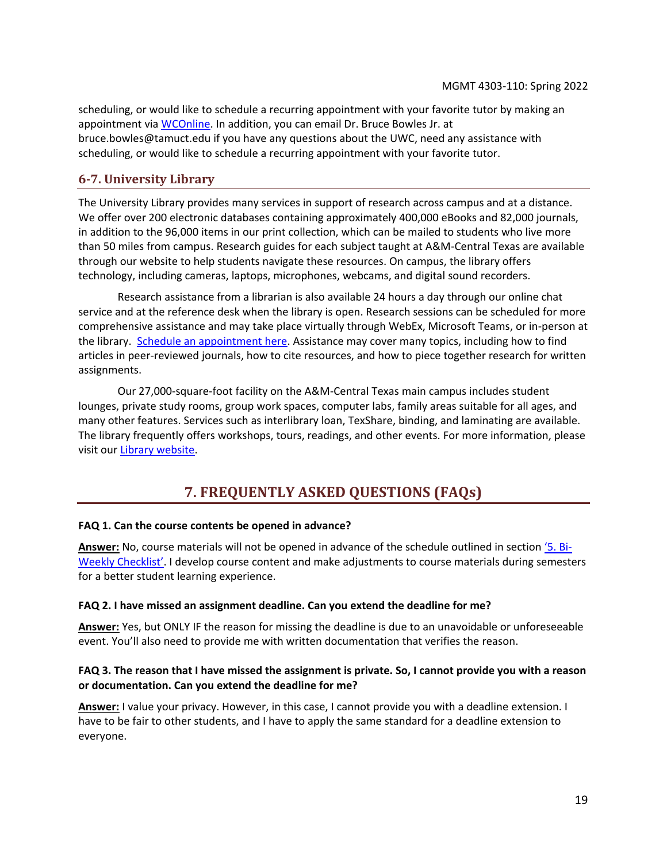scheduling, or would like to schedule a recurring appointment with your favorite tutor by making an appointment via [WCOnline.](https://tamuct.mywconline.com/) In addition, you can email Dr. Bruce Bowles Jr. at bruce.bowles@tamuct.edu if you have any questions about the UWC, need any assistance with scheduling, or would like to schedule a recurring appointment with your favorite tutor.

## **6-7. University Library**

The University Library provides many services in support of research across campus and at a distance. We offer over 200 electronic databases containing approximately 400,000 eBooks and 82,000 journals, in addition to the 96,000 items in our print collection, which can be mailed to students who live more than 50 miles from campus. Research guides for each subject taught at A&M-Central Texas are available through our website to help students navigate these resources. On campus, the library offers technology, including cameras, laptops, microphones, webcams, and digital sound recorders.

Research assistance from a librarian is also available 24 hours a day through our online chat service and at the reference desk when the library is open. Research sessions can be scheduled for more comprehensive assistance and may take place virtually through WebEx, Microsoft Teams, or in-person at the library. [Schedule an appointment here.](https://tamuct.libcal.com/appointments/?g=6956) Assistance may cover many topics, including how to find articles in peer-reviewed journals, how to cite resources, and how to piece together research for written assignments.

Our 27,000-square-foot facility on the A&M-Central Texas main campus includes student lounges, private study rooms, group work spaces, computer labs, family areas suitable for all ages, and many other features. Services such as interlibrary loan, TexShare, binding, and laminating are available. The library frequently offers workshops, tours, readings, and other events. For more information, please visit our [Library website.](http://tamuct.libguides.com/index)

## **7. FREQUENTLY ASKED QUESTIONS (FAQs)**

#### <span id="page-18-0"></span>**FAQ 1. Can the course contents be opened in advance?**

**Answer:** No, course materials will not be opened in advance of the schedule outlined in section '5[. Bi-](#page-7-0)[Weekly Checklist'](#page-7-0). I develop course content and make adjustments to course materials during semesters for a better student learning experience.

#### **FAQ 2. I have missed an assignment deadline. Can you extend the deadline for me?**

**Answer:** Yes, but ONLY IF the reason for missing the deadline is due to an unavoidable or unforeseeable event. You'll also need to provide me with written documentation that verifies the reason.

#### **FAQ 3. The reason that I have missed the assignment is private. So, I cannot provide you with a reason or documentation. Can you extend the deadline for me?**

**Answer:** I value your privacy. However, in this case, I cannot provide you with a deadline extension. I have to be fair to other students, and I have to apply the same standard for a deadline extension to everyone.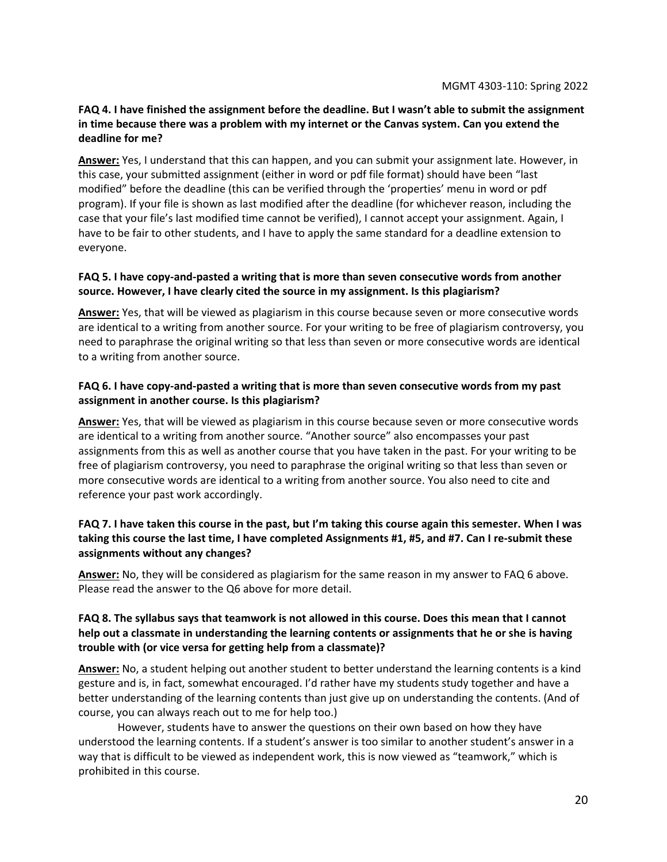#### **FAQ 4. I have finished the assignment before the deadline. But I wasn't able to submit the assignment in time because there was a problem with my internet or the Canvas system. Can you extend the deadline for me?**

**Answer:** Yes, I understand that this can happen, and you can submit your assignment late. However, in this case, your submitted assignment (either in word or pdf file format) should have been "last modified" before the deadline (this can be verified through the 'properties' menu in word or pdf program). If your file is shown as last modified after the deadline (for whichever reason, including the case that your file's last modified time cannot be verified), I cannot accept your assignment. Again, I have to be fair to other students, and I have to apply the same standard for a deadline extension to everyone.

#### **FAQ 5. I have copy-and-pasted a writing that is more than seven consecutive words from another source. However, I have clearly cited the source in my assignment. Is this plagiarism?**

**Answer:** Yes, that will be viewed as plagiarism in this course because seven or more consecutive words are identical to a writing from another source. For your writing to be free of plagiarism controversy, you need to paraphrase the original writing so that less than seven or more consecutive words are identical to a writing from another source.

#### **FAQ 6. I have copy-and-pasted a writing that is more than seven consecutive words from my past assignment in another course. Is this plagiarism?**

**Answer:** Yes, that will be viewed as plagiarism in this course because seven or more consecutive words are identical to a writing from another source. "Another source" also encompasses your past assignments from this as well as another course that you have taken in the past. For your writing to be free of plagiarism controversy, you need to paraphrase the original writing so that less than seven or more consecutive words are identical to a writing from another source. You also need to cite and reference your past work accordingly.

#### **FAQ 7. I have taken this course in the past, but I'm taking this course again this semester. When I was taking this course the last time, I have completed Assignments #1, #5, and #7. Can I re-submit these assignments without any changes?**

**Answer:** No, they will be considered as plagiarism for the same reason in my answer to FAQ 6 above. Please read the answer to the Q6 above for more detail.

#### **FAQ 8. The syllabus says that teamwork is not allowed in this course. Does this mean that I cannot help out a classmate in understanding the learning contents or assignments that he or she is having trouble with (or vice versa for getting help from a classmate)?**

**Answer:** No, a student helping out another student to better understand the learning contents is a kind gesture and is, in fact, somewhat encouraged. I'd rather have my students study together and have a better understanding of the learning contents than just give up on understanding the contents. (And of course, you can always reach out to me for help too.)

However, students have to answer the questions on their own based on how they have understood the learning contents. If a student's answer is too similar to another student's answer in a way that is difficult to be viewed as independent work, this is now viewed as "teamwork," which is prohibited in this course.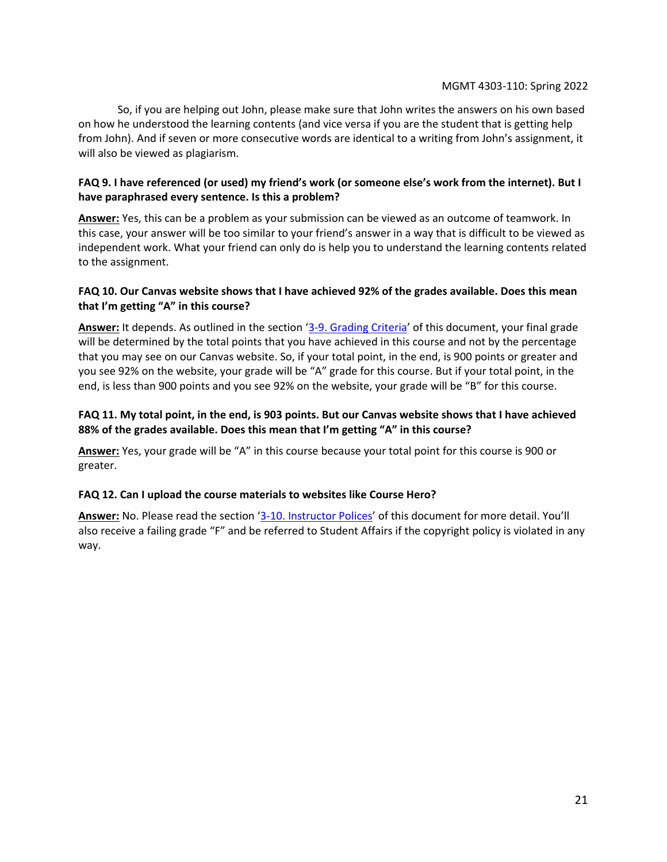So, if you are helping out John, please make sure that John writes the answers on his own based on how he understood the learning contents (and vice versa if you are the student that is getting help from John). And if seven or more consecutive words are identical to a writing from John's assignment, it will also be viewed as plagiarism.

#### **FAQ 9. I have referenced (or used) my friend's work (or someone else's work from the internet). But I have paraphrased every sentence. Is this a problem?**

**Answer:** Yes, this can be a problem as your submission can be viewed as an outcome of teamwork. In this case, your answer will be too similar to your friend's answer in a way that is difficult to be viewed as independent work. What your friend can only do is help you to understand the learning contents related to the assignment.

#### **FAQ 10. Our Canvas website shows that I have achieved 92% of the grades available. Does this mean that I'm getting "A" in this course?**

**Answer:** It depends. As outlined in the section '[3-9. Grading Criteria](#page-4-1)' of this document, your final grade will be determined by the total points that you have achieved in this course and not by the percentage that you may see on our Canvas website. So, if your total point, in the end, is 900 points or greater and you see 92% on the website, your grade will be "A" grade for this course. But if your total point, in the end, is less than 900 points and you see 92% on the website, your grade will be "B" for this course.

#### **FAQ 11. My total point, in the end, is 903 points. But our Canvas website shows that I have achieved 88% of the grades available. Does this mean that I'm getting "A" in this course?**

**Answer:** Yes, your grade will be "A" in this course because your total point for this course is 900 or greater.

#### **FAQ 12. Can I upload the course materials to websites like Course Hero?**

**Answer:** No. Please read the section '[3-10. Instructor Polices](#page-5-0)' of this document for more detail. You'll also receive a failing grade "F" and be referred to Student Affairs if the copyright policy is violated in any way.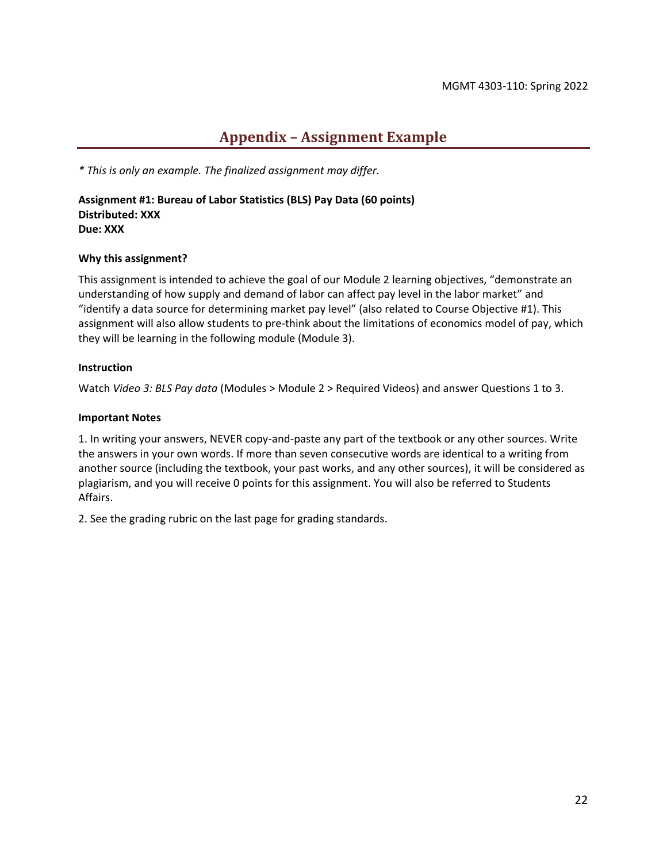## **Appendix – Assignment Example**

<span id="page-21-0"></span>*\* This is only an example. The finalized assignment may differ.*

**Assignment #1: Bureau of Labor Statistics (BLS) Pay Data (60 points) Distributed: XXX Due: XXX**

#### **Why this assignment?**

This assignment is intended to achieve the goal of our Module 2 learning objectives, "demonstrate an understanding of how supply and demand of labor can affect pay level in the labor market" and "identify a data source for determining market pay level" (also related to Course Objective #1). This assignment will also allow students to pre-think about the limitations of economics model of pay, which they will be learning in the following module (Module 3).

#### **Instruction**

Watch *Video 3: BLS Pay data* (Modules > Module 2 > Required Videos) and answer Questions 1 to 3.

#### **Important Notes**

1. In writing your answers, NEVER copy-and-paste any part of the textbook or any other sources. Write the answers in your own words. If more than seven consecutive words are identical to a writing from another source (including the textbook, your past works, and any other sources), it will be considered as plagiarism, and you will receive 0 points for this assignment. You will also be referred to Students Affairs.

2. See the grading rubric on the last page for grading standards.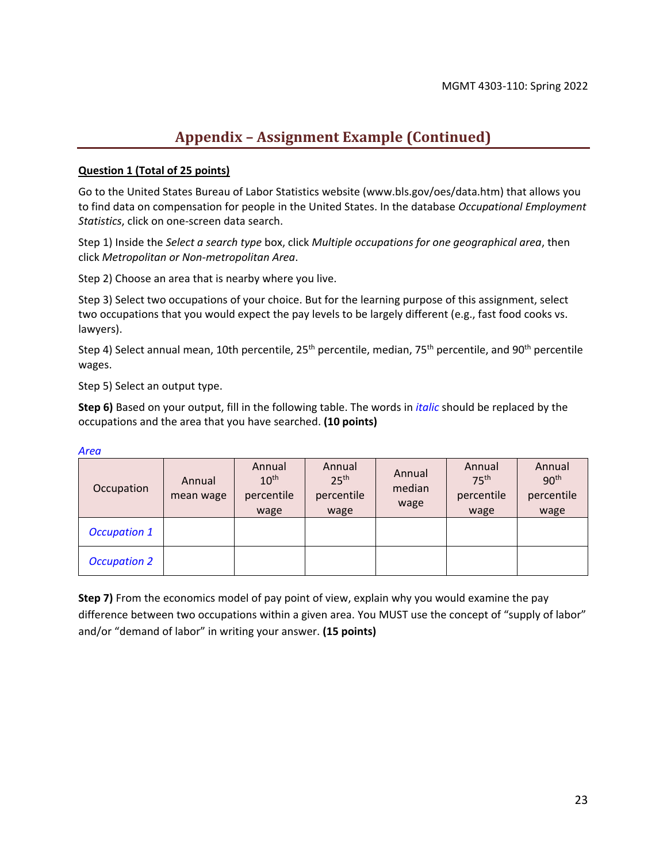## **Appendix – Assignment Example (Continued)**

#### **Question 1 (Total of 25 points)**

Go to the United States Bureau of Labor Statistics website (www.bls.gov/oes/data.htm) that allows you to find data on compensation for people in the United States. In the database *Occupational Employment Statistics*, click on one-screen data search.

Step 1) Inside the *Select a search type* box, click *Multiple occupations for one geographical area*, then click *Metropolitan or Non-metropolitan Area*.

Step 2) Choose an area that is nearby where you live.

Step 3) Select two occupations of your choice. But for the learning purpose of this assignment, select two occupations that you would expect the pay levels to be largely different (e.g., fast food cooks vs. lawyers).

Step 4) Select annual mean, 10th percentile, 25<sup>th</sup> percentile, median, 75<sup>th</sup> percentile, and 90<sup>th</sup> percentile wages.

Step 5) Select an output type.

**Step 6)** Based on your output, fill in the following table. The words in *italic* should be replaced by the occupations and the area that you have searched. **(10 points)**

| Occupation          | Annual<br>mean wage | Annual<br>10 <sup>th</sup><br>percentile<br>wage | Annual<br>25 <sup>th</sup><br>percentile<br>wage | Annual<br>median<br>wage | Annual<br>75 <sup>th</sup><br>percentile<br>wage | Annual<br>90 <sup>th</sup><br>percentile<br>wage |
|---------------------|---------------------|--------------------------------------------------|--------------------------------------------------|--------------------------|--------------------------------------------------|--------------------------------------------------|
| <b>Occupation 1</b> |                     |                                                  |                                                  |                          |                                                  |                                                  |
| <b>Occupation 2</b> |                     |                                                  |                                                  |                          |                                                  |                                                  |

*Area*

**Step 7)** From the economics model of pay point of view, explain why you would examine the pay difference between two occupations within a given area. You MUST use the concept of "supply of labor" and/or "demand of labor" in writing your answer. **(15 points)**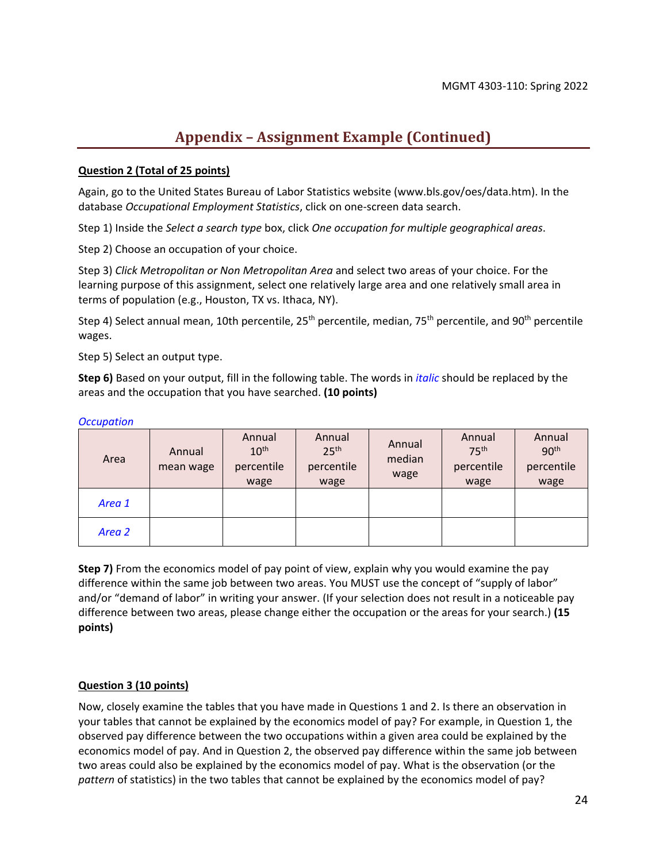## **Appendix – Assignment Example (Continued)**

#### **Question 2 (Total of 25 points)**

Again, go to the United States Bureau of Labor Statistics website (www.bls.gov/oes/data.htm). In the database *Occupational Employment Statistics*, click on one-screen data search.

Step 1) Inside the *Select a search type* box, click *One occupation for multiple geographical areas*.

Step 2) Choose an occupation of your choice.

Step 3) *Click Metropolitan or Non Metropolitan Area* and select two areas of your choice. For the learning purpose of this assignment, select one relatively large area and one relatively small area in terms of population (e.g., Houston, TX vs. Ithaca, NY).

Step 4) Select annual mean, 10th percentile,  $25<sup>th</sup>$  percentile, median, 75<sup>th</sup> percentile, and 90<sup>th</sup> percentile wages.

Step 5) Select an output type.

**Step 6)** Based on your output, fill in the following table. The words in *italic* should be replaced by the areas and the occupation that you have searched. **(10 points)**

| Area   | Annual<br>mean wage | Annual<br>10 <sup>th</sup><br>percentile<br>wage | Annual<br>25 <sup>th</sup><br>percentile<br>wage | Annual<br>median<br>wage | Annual<br>75 <sup>th</sup><br>percentile<br>wage | Annual<br>90 <sup>th</sup><br>percentile<br>wage |
|--------|---------------------|--------------------------------------------------|--------------------------------------------------|--------------------------|--------------------------------------------------|--------------------------------------------------|
| Area 1 |                     |                                                  |                                                  |                          |                                                  |                                                  |
| Area 2 |                     |                                                  |                                                  |                          |                                                  |                                                  |

#### *Occupation*

**Step 7)** From the economics model of pay point of view, explain why you would examine the pay difference within the same job between two areas. You MUST use the concept of "supply of labor" and/or "demand of labor" in writing your answer. (If your selection does not result in a noticeable pay difference between two areas, please change either the occupation or the areas for your search.) **(15 points)**

#### **Question 3 (10 points)**

Now, closely examine the tables that you have made in Questions 1 and 2. Is there an observation in your tables that cannot be explained by the economics model of pay? For example, in Question 1, the observed pay difference between the two occupations within a given area could be explained by the economics model of pay. And in Question 2, the observed pay difference within the same job between two areas could also be explained by the economics model of pay. What is the observation (or the *pattern* of statistics) in the two tables that cannot be explained by the economics model of pay?